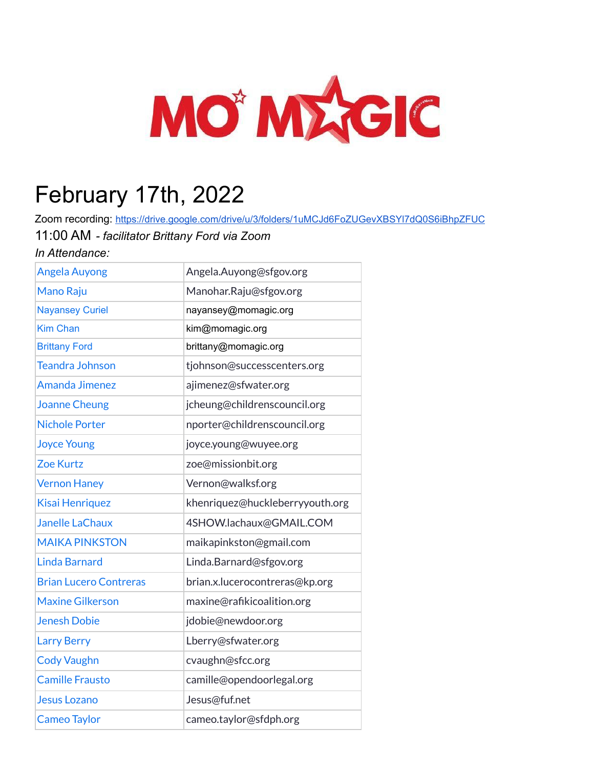

## February 17th, 2022

Zoom recording: <https://drive.google.com/drive/u/3/folders/1uMCJd6FoZUGevXBSYl7dQ0S6iBhpZFUC> 11:00 AM *- facilitator Brittany Ford via Zoom*

*In Attendance:*

| <b>Angela Auyong</b>          | Angela.Auyong@sfgov.org         |
|-------------------------------|---------------------------------|
| Mano Raju                     | Manohar.Raju@sfgov.org          |
| <b>Nayansey Curiel</b>        | nayansey@momagic.org            |
| <b>Kim Chan</b>               | kim@momagic.org                 |
| <b>Brittany Ford</b>          | brittany@momagic.org            |
| <b>Teandra Johnson</b>        | tjohnson@successcenters.org     |
| <b>Amanda Jimenez</b>         | ajimenez@sfwater.org            |
| <b>Joanne Cheung</b>          | jcheung@childrenscouncil.org    |
| <b>Nichole Porter</b>         | nporter@childrenscouncil.org    |
| <b>Joyce Young</b>            | joyce.young@wuyee.org           |
| <b>Zoe Kurtz</b>              | zoe@missionbit.org              |
| <b>Vernon Haney</b>           | Vernon@walksf.org               |
| <b>Kisai Henriquez</b>        | khenriquez@huckleberryyouth.org |
| <b>Janelle LaChaux</b>        | 4SHOW.lachaux@GMAIL.COM         |
| <b>MAIKA PINKSTON</b>         | maikapinkston@gmail.com         |
| <b>Linda Barnard</b>          | Linda.Barnard@sfgov.org         |
| <b>Brian Lucero Contreras</b> | brian.x.lucerocontreras@kp.org  |
| <b>Maxine Gilkerson</b>       | maxine@rafikicoalition.org      |
| <b>Jenesh Dobie</b>           | jdobie@newdoor.org              |
| <b>Larry Berry</b>            | Lberry@sfwater.org              |
| <b>Cody Vaughn</b>            | cvaughn@sfcc.org                |
| <b>Camille Frausto</b>        | camille@opendoorlegal.org       |
| <b>Jesus Lozano</b>           | Jesus@fuf.net                   |
| <b>Cameo Taylor</b>           | cameo.taylor@sfdph.org          |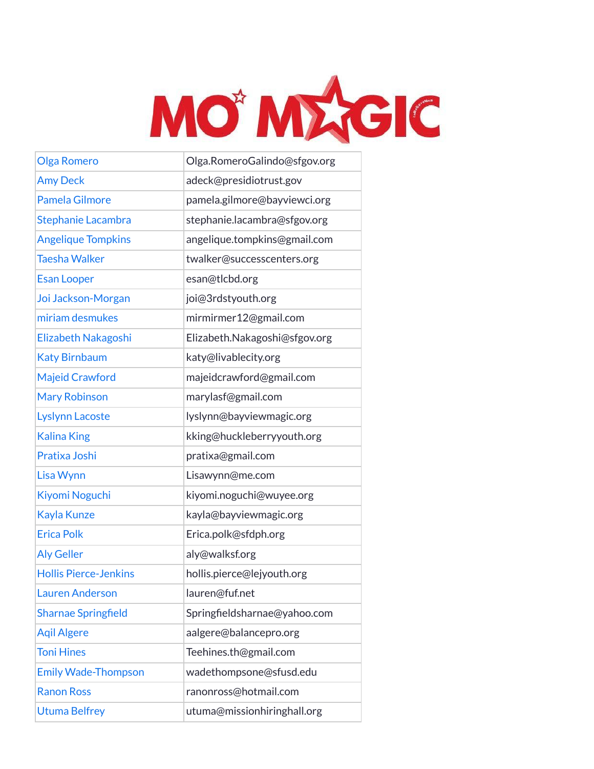

| <b>Olga Romero</b>           | Olga.RomeroGalindo@sfgov.org  |
|------------------------------|-------------------------------|
| <b>Amy Deck</b>              | adeck@presidiotrust.gov       |
| <b>Pamela Gilmore</b>        | pamela.gilmore@bayviewci.org  |
| <b>Stephanie Lacambra</b>    | stephanie.lacambra@sfgov.org  |
| <b>Angelique Tompkins</b>    | angelique.tompkins@gmail.com  |
| <b>Taesha Walker</b>         | twalker@successcenters.org    |
| <b>Esan Looper</b>           | esan@tlcbd.org                |
| Joi Jackson-Morgan           | joi@3rdstyouth.org            |
| miriam desmukes              | mirmirmer12@gmail.com         |
| Elizabeth Nakagoshi          | Elizabeth.Nakagoshi@sfgov.org |
| <b>Katy Birnbaum</b>         | katy@livablecity.org          |
| <b>Majeid Crawford</b>       | majeidcrawford@gmail.com      |
| <b>Mary Robinson</b>         | marylasf@gmail.com            |
| <b>Lyslynn Lacoste</b>       | lyslynn@bayviewmagic.org      |
| <b>Kalina King</b>           | kking@huckleberryyouth.org    |
| Pratixa Joshi                | pratixa@gmail.com             |
| Lisa Wynn                    | Lisawynn@me.com               |
| Kiyomi Noguchi               | kiyomi.noguchi@wuyee.org      |
| Kayla Kunze                  | kayla@bayviewmagic.org        |
| <b>Erica Polk</b>            | Erica.polk@sfdph.org          |
| <b>Aly Geller</b>            | aly@walksf.org                |
| <b>Hollis Pierce-Jenkins</b> | hollis.pierce@lejyouth.org    |
| <b>Lauren Anderson</b>       | lauren@fuf.net                |
| <b>Sharnae Springfield</b>   | Springfieldsharnae@yahoo.com  |
| <b>Agil Algere</b>           | aalgere@balancepro.org        |
| <b>Toni Hines</b>            | Teehines.th@gmail.com         |
| <b>Emily Wade-Thompson</b>   | wadethompsone@sfusd.edu       |
| <b>Ranon Ross</b>            | ranonross@hotmail.com         |
| <b>Utuma Belfrey</b>         | utuma@missionhiringhall.org   |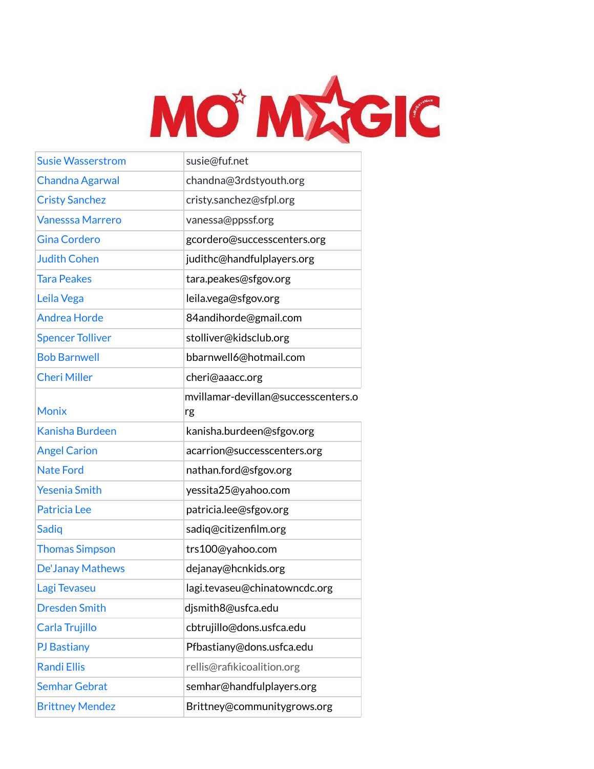

| <b>Susie Wasserstrom</b> | susie@fuf.net                             |
|--------------------------|-------------------------------------------|
| Chandna Agarwal          | chandna@3rdstyouth.org                    |
| <b>Cristy Sanchez</b>    | cristy.sanchez@sfpl.org                   |
| <b>Vanesssa Marrero</b>  | vanessa@ppssf.org                         |
| <b>Gina Cordero</b>      | gcordero@successcenters.org               |
| <b>Judith Cohen</b>      | judithc@handfulplayers.org                |
| <b>Tara Peakes</b>       | tara.peakes@sfgov.org                     |
| Leila Vega               | leila.vega@sfgov.org                      |
| <b>Andrea Horde</b>      | 84andihorde@gmail.com                     |
| <b>Spencer Tolliver</b>  | stolliver@kidsclub.org                    |
| <b>Bob Barnwell</b>      | bbarnwell6@hotmail.com                    |
| <b>Cheri Miller</b>      | cheri@aaacc.org                           |
| <b>Monix</b>             | mvillamar-devillan@successcenters.o<br>rg |
| <b>Kanisha Burdeen</b>   | kanisha.burdeen@sfgov.org                 |
| <b>Angel Carion</b>      | acarrion@successcenters.org               |
| <b>Nate Ford</b>         | nathan.ford@sfgov.org                     |
| <b>Yesenia Smith</b>     | yessita25@yahoo.com                       |
| Patricia Lee             | patricia.lee@sfgov.org                    |
| Sadiq                    | sadiq@citizenfilm.org                     |
| <b>Thomas Simpson</b>    | trs100@yahoo.com                          |
| <b>De'Janay Mathews</b>  | dejanay@hcnkids.org                       |
| Lagi Tevaseu             | lagi.tevaseu@chinatowncdc.org             |
| <b>Dresden Smith</b>     | djsmith8@usfca.edu                        |
| Carla Trujillo           | cbtrujillo@dons.usfca.edu                 |
| <b>PJ</b> Bastiany       | Pfbastiany@dons.usfca.edu                 |
| <b>Randi Ellis</b>       | rellis@rafikicoalition.org                |
| <b>Semhar Gebrat</b>     | semhar@handfulplayers.org                 |
| <b>Brittney Mendez</b>   | Brittney@communitygrows.org               |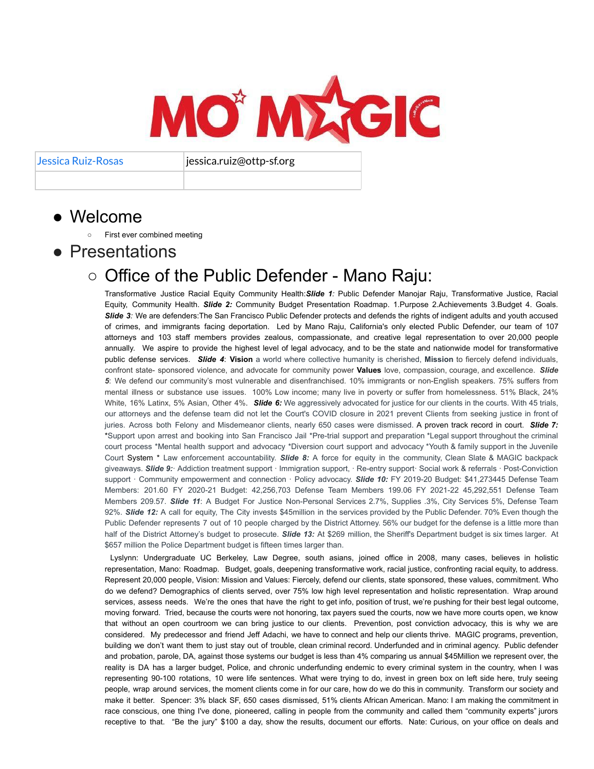MO' MAGIC

Jessica Ruiz-Rosas jessica.ruiz@ottp-sf.org

- Welcome
	- First ever combined meeting
- Presentations

## ○ Office of the Public Defender - Mano Raju:

Transformative Justice Racial Equity Community Health:*Slide 1:* Public Defender Manojar Raju, Transformative Justice, Racial Equity, Community Health. *Slide 2:* Community Budget Presentation Roadmap. 1.Purpose 2.Achievements 3.Budget 4. Goals. **Slide** 3: We are defenders: The San Francisco Public Defender protects and defends the rights of indigent adults and youth accused of crimes, and immigrants facing deportation. Led by Mano Raju, California's only elected Public Defender, our team of 107 attorneys and 103 staff members provides zealous, compassionate, and creative legal representation to over 20,000 people annually. We aspire to provide the highest level of legal advocacy, and to be the state and nationwide model for transformative public defense services. *Slide 4*: **Vision** a world where collective humanity is cherished, **Mission** to fiercely defend individuals, confront state- sponsored violence, and advocate for community power **Values** love, compassion, courage, and excellence. *Slide 5*: We defend our community's most vulnerable and disenfranchised. 10% immigrants or non-English speakers. 75% suffers from mental illness or substance use issues. 100% Low income; many live in poverty or suffer from homelessness. 51% Black, 24% White, 16% Latinx, 5% Asian, Other 4%. **Slide 6:** We aggressively advocated for justice for our clients in the courts. With 45 trials, our attorneys and the defense team did not let the Court's COVID closure in 2021 prevent Clients from seeking justice in front of juries. Across both Felony and Misdemeanor clients, nearly 650 cases were dismissed. A proven track record in court. *Slide 7:* \*Support upon arrest and booking into San Francisco Jail \*Pre-trial support and preparation \*Legal support throughout the criminal court process \*Mental health support and advocacy \*Diversion court support and advocacy \*Youth & family support in the Juvenile Court System \* Law enforcement accountability. *Slide 8:* A force for equity in the community, Clean Slate & MAGIC backpack giveaways. *Slide 9:*· Addiction treatment support · Immigration support, · Re-entry support· Social work & referrals · Post-Conviction support · Community empowerment and connection · Policy advocacy. *Slide 10:* FY 2019-20 Budget: \$41,273445 Defense Team Members: 201.60 FY 2020-21 Budget: 42,256,703 Defense Team Members 199.06 FY 2021-22 45,292,551 Defense Team Members 209.57. *Slide 11*: A Budget For Justice Non-Personal Services 2.7%, Supplies .3%, City Services 5%, Defense Team 92%. *Slide 12:* A call for equity, The City invests \$45million in the services provided by the Public Defender. 70% Even though the Public Defender represents 7 out of 10 people charged by the District Attorney. 56% our budget for the defense is a little more than half of the District Attorney's budget to prosecute. *Slide 13:* At \$269 million, the Sheriff's Department budget is six times larger. At \$657 million the Police Department budget is fifteen times larger than.

Lyslynn: Undergraduate UC Berkeley, Law Degree, south asians, joined office in 2008, many cases, believes in holistic representation, Mano: Roadmap. Budget, goals, deepening transformative work, racial justice, confronting racial equity, to address. Represent 20,000 people, Vision: Mission and Values: Fiercely, defend our clients, state sponsored, these values, commitment. Who do we defend? Demographics of clients served, over 75% low high level representation and holistic representation. Wrap around services, assess needs. We're the ones that have the right to get info, position of trust, we're pushing for their best legal outcome, moving forward. Tried, because the courts were not honoring, tax payers sued the courts, now we have more courts open, we know that without an open courtroom we can bring justice to our clients. Prevention, post conviction advocacy, this is why we are considered. My predecessor and friend Jeff Adachi, we have to connect and help our clients thrive. MAGIC programs, prevention, building we don't want them to just stay out of trouble, clean criminal record. Underfunded and in criminal agency. Public defender and probation, parole, DA, against those systems our budget is less than 4% comparing us annual \$45Million we represent over, the reality is DA has a larger budget, Police, and chronic underfunding endemic to every criminal system in the country, when I was representing 90-100 rotations, 10 were life sentences. What were trying to do, invest in green box on left side here, truly seeing people, wrap around services, the moment clients come in for our care, how do we do this in community. Transform our society and make it better. Spencer: 3% black SF, 650 cases dismissed, 51% clients African American. Mano: I am making the commitment in race conscious, one thing I've done, pioneered, calling in people from the community and called them "community experts" jurors receptive to that. "Be the jury" \$100 a day, show the results, document our efforts. Nate: Curious, on your office on deals and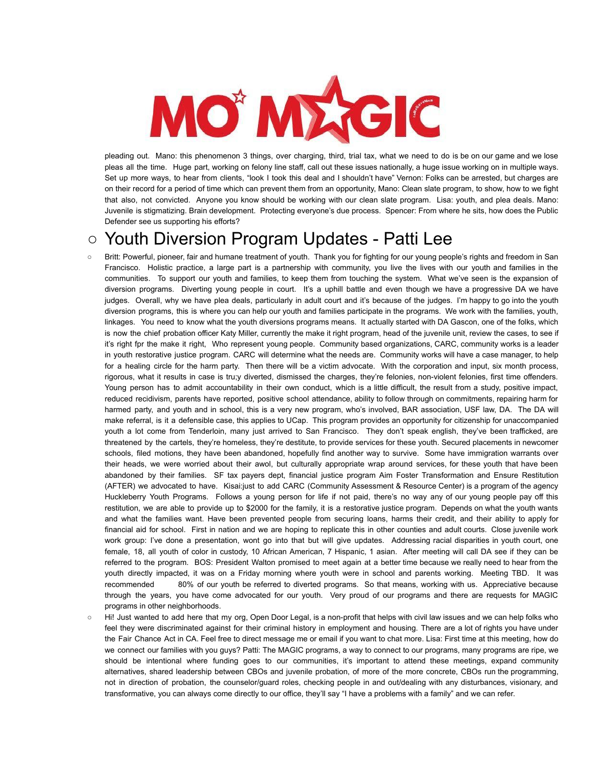

pleading out. Mano: this phenomenon 3 things, over charging, third, trial tax, what we need to do is be on our game and we lose pleas all the time. Huge part, working on felony line staff, call out these issues nationally, a huge issue working on in multiple ways. Set up more ways, to hear from clients, "look I took this deal and I shouldn't have" Vernon: Folks can be arrested, but charges are on their record for a period of time which can prevent them from an opportunity, Mano: Clean slate program, to show, how to we fight that also, not convicted. Anyone you know should be working with our clean slate program. Lisa: youth, and plea deals. Mano: Juvenile is stigmatizing. Brain development. Protecting everyone's due process. Spencer: From where he sits, how does the Public Defender see us supporting his efforts?

## ○ Youth Diversion Program Updates - Patti Lee

- Britt: Powerful, pioneer, fair and humane treatment of youth. Thank you for fighting for our young people's rights and freedom in San Francisco. Holistic practice, a large part is a partnership with community, you live the lives with our youth and families in the communities. To support our youth and families, to keep them from touching the system. What we've seen is the expansion of diversion programs. Diverting young people in court. It's a uphill battle and even though we have a progressive DA we have judges. Overall, why we have plea deals, particularly in adult court and it's because of the judges. I'm happy to go into the youth diversion programs, this is where you can help our youth and families participate in the programs. We work with the families, youth, linkages. You need to know what the youth diversions programs means. It actually started with DA Gascon, one of the folks, which is now the chief probation officer Katy Miller, currently the make it right program, head of the juvenile unit, review the cases, to see if it's right fpr the make it right, Who represent young people. Community based organizations, CARC, community works is a leader in youth restorative justice program. CARC will determine what the needs are. Community works will have a case manager, to help for a healing circle for the harm party. Then there will be a victim advocate. With the corporation and input, six month process, rigorous, what it results in case is tru;y diverted, dismissed the charges, they're felonies, non-violent felonies, first time offenders. Young person has to admit accountability in their own conduct, which is a little difficult, the result from a study, positive impact, reduced recidivism, parents have reported, positive school attendance, ability to follow through on commitments, repairing harm for harmed party, and youth and in school, this is a very new program, who's involved, BAR association, USF law, DA. The DA will make referral, is it a defensible case, this applies to UCap. This program provides an opportunity for citizenship for unaccompanied youth a lot come from Tenderloin, many just arrived to San Francisco. They don't speak english, they've been trafficked, are threatened by the cartels, they're homeless, they're destitute, to provide services for these youth. Secured placements in newcomer schools, filed motions, they have been abandoned, hopefully find another way to survive. Some have immigration warrants over their heads, we were worried about their awol, but culturally appropriate wrap around services, for these youth that have been abandoned by their families. SF tax payers dept, financial justice program Aim Foster Transformation and Ensure Restitution (AFTER) we advocated to have. Kisai:just to add CARC (Community Assessment & Resource Center) is a program of the agency Huckleberry Youth Programs. Follows a young person for life if not paid, there's no way any of our young people pay off this restitution, we are able to provide up to \$2000 for the family, it is a restorative justice program. Depends on what the youth wants and what the families want. Have been prevented people from securing loans, harms their credit, and their ability to apply for financial aid for school. First in nation and we are hoping to replicate this in other counties and adult courts. Close juvenile work work group: I've done a presentation, wont go into that but will give updates. Addressing racial disparities in youth court, one female, 18, all youth of color in custody, 10 African American, 7 Hispanic, 1 asian. After meeting will call DA see if they can be referred to the program. BOS: President Walton promised to meet again at a better time because we really need to hear from the youth directly impacted, it was on a Friday morning where youth were in school and parents working. Meeting TBD. It was recommended 80% of our youth be referred to diverted programs. So that means, working with us. Appreciative because through the years, you have come advocated for our youth. Very proud of our programs and there are requests for MAGIC programs in other neighborhoods.
- Hi! Just wanted to add here that my org, Open Door Legal, is a non-profit that helps with civil law issues and we can help folks who feel they were discriminated against for their criminal history in employment and housing. There are a lot of rights you have under the Fair Chance Act in CA. Feel free to direct message me or email if you want to chat more. Lisa: First time at this meeting, how do we connect our families with you guys? Patti: The MAGIC programs, a way to connect to our programs, many programs are ripe, we should be intentional where funding goes to our communities, it's important to attend these meetings, expand community alternatives, shared leadership between CBOs and juvenile probation, of more of the more concrete, CBOs run the programming, not in direction of probation, the counselor/guard roles, checking people in and out/dealing with any disturbances, visionary, and transformative, you can always come directly to our office, they'll say "I have a problems with a family" and we can refer.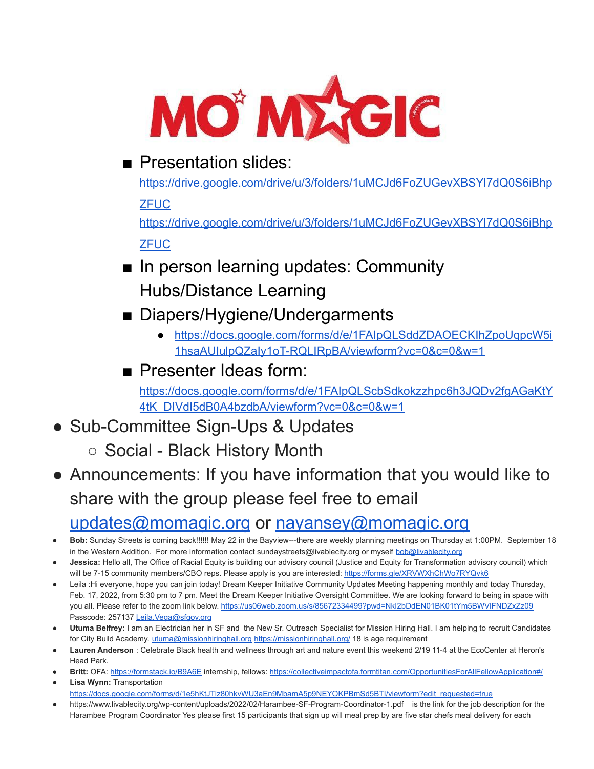

## ■ Presentation slides:

[https://drive.google.com/drive/u/3/folders/1uMCJd6FoZUGevXBSYl7dQ0S6iBhp](https://drive.google.com/drive/u/3/folders/1uMCJd6FoZUGevXBSYl7dQ0S6iBhpZFUC)

**[ZFUC](https://drive.google.com/drive/u/3/folders/1uMCJd6FoZUGevXBSYl7dQ0S6iBhpZFUC)** 

[https://drive.google.com/drive/u/3/folders/1uMCJd6FoZUGevXBSYl7dQ0S6iBhp](https://drive.google.com/drive/u/3/folders/1uMCJd6FoZUGevXBSYl7dQ0S6iBhpZFUC) **[ZFUC](https://drive.google.com/drive/u/3/folders/1uMCJd6FoZUGevXBSYl7dQ0S6iBhpZFUC)** 

- In person learning updates: Community Hubs/Distance Learning
- Diapers/Hygiene/Undergarments
	- [https://docs.google.com/forms/d/e/1FAIpQLSddZDAOECKIhZpoUqpcW5i](https://docs.google.com/forms/d/e/1FAIpQLSddZDAOECKIhZpoUqpcW5i1hsaAUIulpQZaIy1oT-RQLIRpBA/viewform?vc=0&c=0&w=1) [1hsaAUIulpQZaIy1oT-RQLIRpBA/viewform?vc=0&c=0&w=1](https://docs.google.com/forms/d/e/1FAIpQLSddZDAOECKIhZpoUqpcW5i1hsaAUIulpQZaIy1oT-RQLIRpBA/viewform?vc=0&c=0&w=1)
- Presenter Ideas form:

[https://docs.google.com/forms/d/e/1FAIpQLScbSdkokzzhpc6h3JQDv2fgAGaKtY](https://docs.google.com/forms/d/e/1FAIpQLScbSdkokzzhpc6h3JQDv2fgAGaKtY4tK_DIVdI5dB0A4bzdbA/viewform?vc=0&c=0&w=1) [4tK\\_DIVdI5dB0A4bzdbA/viewform?vc=0&c=0&w=1](https://docs.google.com/forms/d/e/1FAIpQLScbSdkokzzhpc6h3JQDv2fgAGaKtY4tK_DIVdI5dB0A4bzdbA/viewform?vc=0&c=0&w=1)

• Sub-Committee Sign-Ups & Updates

○ Social - Black History Month

- Announcements: If you have information that you would like to share with the group please feel free to email [updates@momagic.org](mailto:updates@momagic.org) or [nayansey@momagic.org](mailto:nayansey@momagic.org)
- **● Bob:** Sunday Streets is coming back!!!!!! May 22 in the Bayview---there are weekly planning meetings on Thursday at 1:00PM. September 18 in the Western Addition. For more information contact sundaystreets@livablecity.org or myself [bob@livablecity.org](mailto:bob@livablecity.org)
- Jessica: Hello all, The Office of Racial Equity is building our advisory council (Justice and Equity for Transformation advisory council) which will be 7-15 community members/CBO reps. Please apply is you are interested: <https://forms.gle/XRVWXhChWo7RYQvk6>
- Leila :Hi everyone, hope you can join today! Dream Keeper Initiative Community Updates Meeting happening monthly and today Thursday, Feb. 17, 2022, from 5:30 pm to 7 pm. Meet the Dream Keeper Initiative Oversight Committee. We are looking forward to being in space with you all. Please refer to the zoom link below. <https://us06web.zoom.us/s/85672334499?pwd=NkI2bDdEN01BK01tYm5BWVlFNDZxZz09> Passcode: 257137 [Leila.Vega@sfgov.org](mailto:Leila.Vega@sfgov.org)
- **Utuma Belfrey:** I am an Electrician her in SF and the New Sr. Outreach Specialist for Mission Hiring Hall. I am helping to recruit Candidates for City Build Academy. [utuma@missionhiringhall.org](mailto:utuma@missionhiringhall.org) <https://missionhiringhall.org/> 18 is age requirement
- Lauren Anderson : Celebrate Black health and wellness through art and nature event this weekend 2/19 11-4 at the EcoCenter at Heron's Head Park.
- **Britt:** OFA: <https://formstack.io/B9A6E> internship, fellows: <https://collectiveimpactofa.formtitan.com/OpportunitiesForAllFellowApplication#/> **Lisa Wynn: Transportation**

[https://docs.google.com/forms/d/1e5hKtJTlz80hkvWU3aEn9MbamA5p9NEYOKPBmSd5BTI/viewform?edit\\_requested=true](https://docs.google.com/forms/d/1e5hKtJTlz80hkvWU3aEn9MbamA5p9NEYOKPBmSd5BTI/viewform?edit_requested=true)

● https://www.livablecity.org/wp-content/uploads/2022/02/Harambee-SF-Program-Coordinator-1.pdf is the link for the job description for the Harambee Program Coordinator Yes please first 15 participants that sign up will meal prep by are five star chefs meal delivery for each